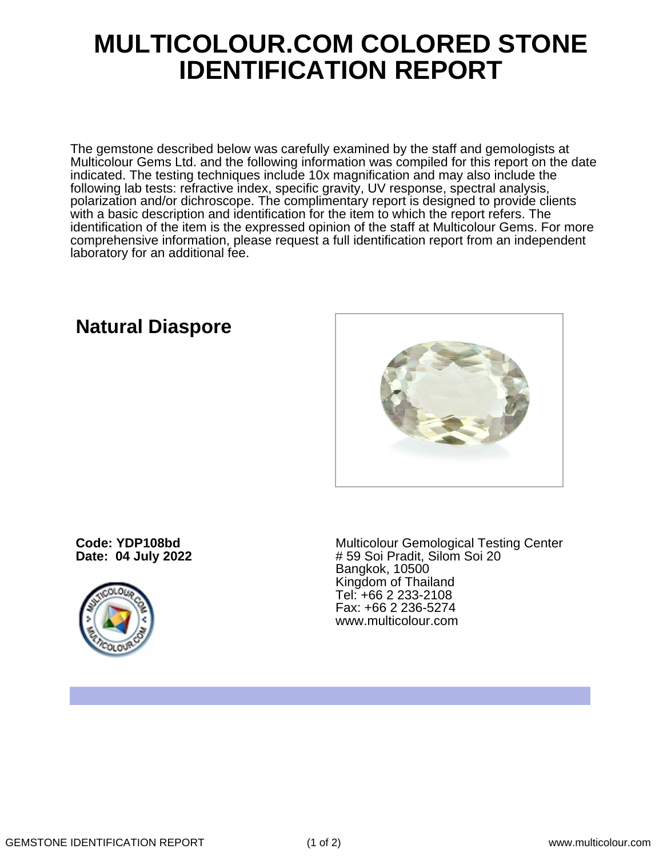## **MULTICOLOUR.COM COLORED STONE IDENTIFICATION REPORT**

The gemstone described below was carefully examined by the staff and gemologists at Multicolour Gems Ltd. and the following information was compiled for this report on the date indicated. The testing techniques include 10x magnification and may also include the following lab tests: refractive index, specific gravity, UV response, spectral analysis, polarization and/or dichroscope. The complimentary report is designed to provide clients with a basic description and identification for the item to which the report refers. The identification of the item is the expressed opinion of the staff at Multicolour Gems. For more comprehensive information, please request a full identification report from an independent laboratory for an additional fee.

**Natural Diaspore**

**Code: YDP108bd Date: 04 July 2022**



Multicolour Gemological Testing Center # 59 Soi Pradit, Silom Soi 20 Bangkok, 10500 Kingdom of Thailand Tel: +66 2 233-2108 Fax: +66 2 236-5274 www.multicolour.com